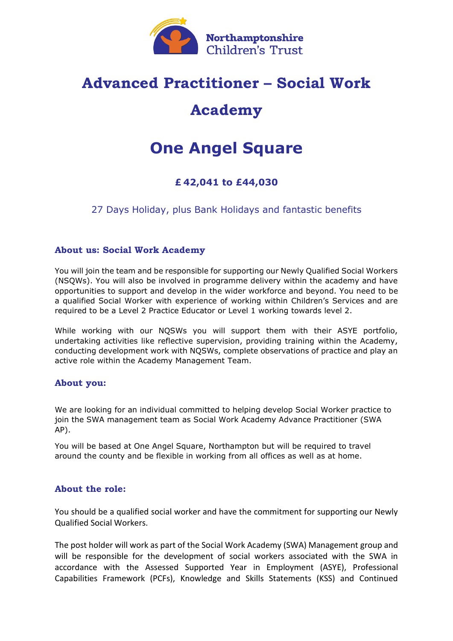

## **Advanced Practitioner – Social Work**

## **Academy**

# **One Angel Square**

### **£ 42,041 to £44,030**

27 Days Holiday, plus Bank Holidays and fantastic benefits

#### **About us: Social Work Academy**

You will join the team and be responsible for supporting our Newly Qualified Social Workers (NSQWs). You will also be involved in programme delivery within the academy and have opportunities to support and develop in the wider workforce and beyond. You need to be a qualified Social Worker with experience of working within Children's Services and are required to be a Level 2 Practice Educator or Level 1 working towards level 2.

While working with our NQSWs you will support them with their ASYE portfolio, undertaking activities like reflective supervision, providing training within the Academy, conducting development work with NQSWs, complete observations of practice and play an active role within the Academy Management Team.

#### **About you:**

We are looking for an individual committed to helping develop Social Worker practice to join the SWA management team as Social Work Academy Advance Practitioner (SWA AP).

You will be based at One Angel Square, Northampton but will be required to travel around the county and be flexible in working from all offices as well as at home.

#### **About the role:**

You should be a qualified social worker and have the commitment for supporting our Newly Qualified Social Workers.

The post holder will work as part of the Social Work Academy (SWA) Management group and will be responsible for the development of social workers associated with the SWA in accordance with the Assessed Supported Year in Employment (ASYE), Professional Capabilities Framework (PCFs), Knowledge and Skills Statements (KSS) and Continued